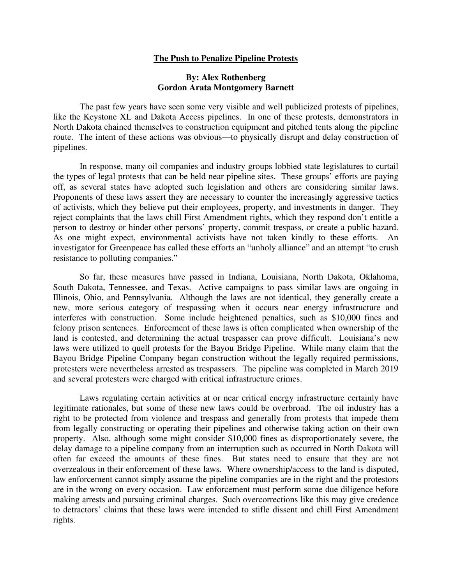## **The Push to Penalize Pipeline Protests**

## **By: Alex Rothenberg Gordon Arata Montgomery Barnett**

The past few years have seen some very visible and well publicized protests of pipelines, like the Keystone XL and Dakota Access pipelines. In one of these protests, demonstrators in North Dakota chained themselves to construction equipment and pitched tents along the pipeline route. The intent of these actions was obvious—to physically disrupt and delay construction of pipelines.

In response, many oil companies and industry groups lobbied state legislatures to curtail the types of legal protests that can be held near pipeline sites. These groups' efforts are paying off, as several states have adopted such legislation and others are considering similar laws. Proponents of these laws assert they are necessary to counter the increasingly aggressive tactics of activists, which they believe put their employees, property, and investments in danger. They reject complaints that the laws chill First Amendment rights, which they respond don't entitle a person to destroy or hinder other persons' property, commit trespass, or create a public hazard. As one might expect, environmental activists have not taken kindly to these efforts. An investigator for Greenpeace has called these efforts an "unholy alliance" and an attempt "to crush resistance to polluting companies."

So far, these measures have passed in Indiana, Louisiana, North Dakota, Oklahoma, South Dakota, Tennessee, and Texas. Active campaigns to pass similar laws are ongoing in Illinois, Ohio, and Pennsylvania. Although the laws are not identical, they generally create a new, more serious category of trespassing when it occurs near energy infrastructure and interferes with construction. Some include heightened penalties, such as \$10,000 fines and felony prison sentences. Enforcement of these laws is often complicated when ownership of the land is contested, and determining the actual trespasser can prove difficult. Louisiana's new laws were utilized to quell protests for the Bayou Bridge Pipeline. While many claim that the Bayou Bridge Pipeline Company began construction without the legally required permissions, protesters were nevertheless arrested as trespassers. The pipeline was completed in March 2019 and several protesters were charged with critical infrastructure crimes.

Laws regulating certain activities at or near critical energy infrastructure certainly have legitimate rationales, but some of these new laws could be overbroad. The oil industry has a right to be protected from violence and trespass and generally from protests that impede them from legally constructing or operating their pipelines and otherwise taking action on their own property. Also, although some might consider \$10,000 fines as disproportionately severe, the delay damage to a pipeline company from an interruption such as occurred in North Dakota will often far exceed the amounts of these fines. But states need to ensure that they are not overzealous in their enforcement of these laws. Where ownership/access to the land is disputed, law enforcement cannot simply assume the pipeline companies are in the right and the protestors are in the wrong on every occasion. Law enforcement must perform some due diligence before making arrests and pursuing criminal charges. Such overcorrections like this may give credence to detractors' claims that these laws were intended to stifle dissent and chill First Amendment rights.